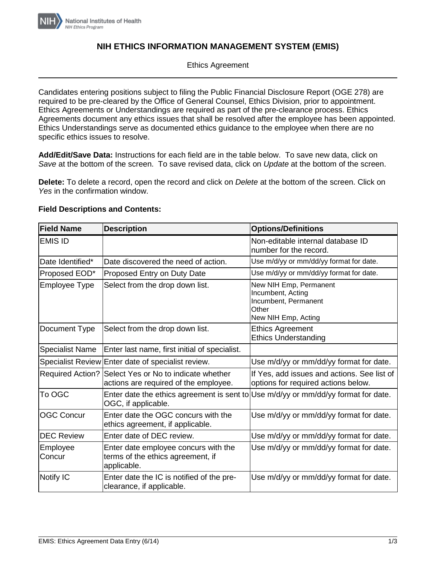

# **NIH ETHICS INFORMATION MANAGEMENT SYSTEM (EMIS)**

## Ethics Agreement

Candidates entering positions subject to filing the Public Financial Disclosure Report (OGE 278) are required to be pre-cleared by the Office of General Counsel, Ethics Division, prior to appointment. Ethics Agreements or Understandings are required as part of the pre-clearance process. Ethics Agreements document any ethics issues that shall be resolved after the employee has been appointed. Ethics Understandings serve as documented ethics guidance to the employee when there are no specific ethics issues to resolve.

**Add/Edit/Save Data:** Instructions for each field are in the table below. To save new data, click on *Save* at the bottom of the screen. To save revised data, click on *Update* at the bottom of the screen.

**Delete:** To delete a record, open the record and click on *Delete* at the bottom of the screen. Click on *Yes* in the confirmation window.

#### **Field Descriptions and Contents:**

| <b>Field Name</b>      | <b>Description</b>                                                                                            | <b>Options/Definitions</b>                                                                          |
|------------------------|---------------------------------------------------------------------------------------------------------------|-----------------------------------------------------------------------------------------------------|
| <b>EMIS ID</b>         |                                                                                                               | Non-editable internal database ID<br>number for the record.                                         |
| Date Identified*       | Date discovered the need of action.                                                                           | Use m/d/yy or mm/dd/yy format for date.                                                             |
| Proposed EOD*          | Proposed Entry on Duty Date                                                                                   | Use m/d/yy or mm/dd/yy format for date.                                                             |
| Employee Type          | Select from the drop down list.                                                                               | New NIH Emp, Permanent<br>Incumbent, Acting<br>Incumbent, Permanent<br>Other<br>New NIH Emp, Acting |
| Document Type          | Select from the drop down list.                                                                               | <b>Ethics Agreement</b><br><b>Ethics Understanding</b>                                              |
| <b>Specialist Name</b> | Enter last name, first initial of specialist.                                                                 |                                                                                                     |
|                        | Specialist Review Enter date of specialist review.                                                            | Use m/d/yy or mm/dd/yy format for date.                                                             |
|                        | Required Action? Select Yes or No to indicate whether<br>actions are required of the employee.                | If Yes, add issues and actions. See list of<br>options for required actions below.                  |
| To OGC                 | Enter date the ethics agreement is sent to Use $m/d/yy$ or $mm/dd/yy$ format for date.<br>OGC, if applicable. |                                                                                                     |
| <b>OGC Concur</b>      | Enter date the OGC concurs with the<br>ethics agreement, if applicable.                                       | Use m/d/yy or mm/dd/yy format for date.                                                             |
| <b>DEC Review</b>      | Enter date of DEC review.                                                                                     | Use m/d/yy or mm/dd/yy format for date.                                                             |
| Employee<br>Concur     | Enter date employee concurs with the<br>terms of the ethics agreement, if<br>applicable.                      | Use m/d/yy or mm/dd/yy format for date.                                                             |
| Notify IC              | Enter date the IC is notified of the pre-<br>clearance, if applicable.                                        | Use m/d/yy or mm/dd/yy format for date.                                                             |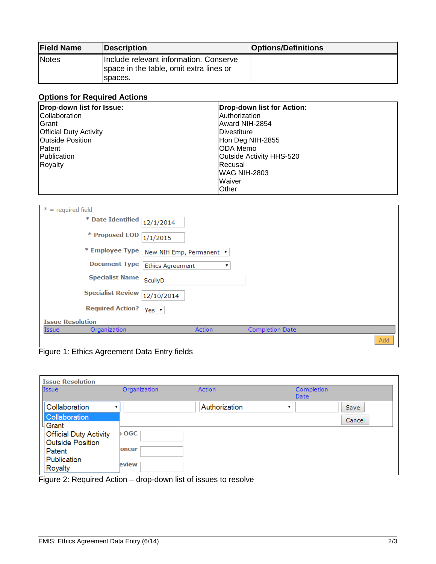| <b>Field Name</b> | <b>Description</b>                                                                           | <b>Options/Definitions</b> |
|-------------------|----------------------------------------------------------------------------------------------|----------------------------|
| Notes             | Include relevant information. Conserve<br>space in the table, omit extra lines or<br>spaces. |                            |

# **Options for Required Actions**

| Drop-down list for Issue:     | Drop-down list for Action: |
|-------------------------------|----------------------------|
| Collaboration                 | Authorization              |
| <b>IGrant</b>                 | Award NIH-2854             |
| <b>Official Duty Activity</b> | Divestiture                |
| <b>Outside Position</b>       | Hon Deg NIH-2855           |
| <b>IPatent</b>                | ODA Memo                   |
| <b>IPublication</b>           | Outside Activity HHS-520   |
| Royalty                       | Recusal                    |
|                               | <b>WAG NIH-2803</b>        |
|                               | Waiver                     |
|                               | Other                      |

| $* = required field$         |                                  |
|------------------------------|----------------------------------|
| * Date Identified            | 12/1/2014                        |
| * Proposed EOD               | 1/1/2015                         |
| * Employee Type              | New NIH Emp, Permanent ▼         |
| <b>Document Type</b>         | <b>Ethics Agreement</b>          |
| <b>Specialist Name</b>       | ScullyD                          |
| <b>Specialist Review</b>     | 12/10/2014                       |
| <b>Required Action?</b>      | Yes $\mathbf{v}$                 |
| <b>Issue Resolution</b>      |                                  |
| <b>Issue</b><br>Organization | Action<br><b>Completion Date</b> |
|                              | Add                              |

Figure 1: Ethics Agreement Data Entry fields

| <b>Issue Resolution</b>       |              |               |            |        |
|-------------------------------|--------------|---------------|------------|--------|
| <b>Issue</b>                  | Organization | <b>Action</b> | Completion |        |
|                               |              |               | Date       |        |
| Collaboration                 |              | Authorization |            | Save   |
| <b>Collaboration</b>          |              |               |            | Cancel |
| └ Grant                       |              |               |            |        |
| <b>Official Duty Activity</b> | b OGC        |               |            |        |
| <b>Outside Position</b>       |              |               |            |        |
| Patent                        | loncur       |               |            |        |
| Publication                   |              |               |            |        |
| <b>Royalty</b>                | eview        |               |            |        |

Figure 2: Required Action – drop-down list of issues to resolve